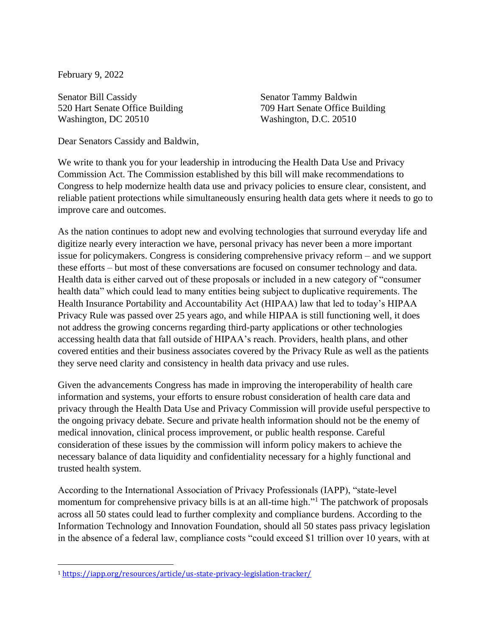February 9, 2022

Senator Bill Cassidy 520 Hart Senate Office Building Washington, DC 20510

Senator Tammy Baldwin 709 Hart Senate Office Building Washington, D.C. 20510

Dear Senators Cassidy and Baldwin,

We write to thank you for your leadership in introducing the Health Data Use and Privacy Commission Act. The Commission established by this bill will make recommendations to Congress to help modernize health data use and privacy policies to ensure clear, consistent, and reliable patient protections while simultaneously ensuring health data gets where it needs to go to improve care and outcomes.

As the nation continues to adopt new and evolving technologies that surround everyday life and digitize nearly every interaction we have, personal privacy has never been a more important issue for policymakers. Congress is considering comprehensive privacy reform – and we support these efforts – but most of these conversations are focused on consumer technology and data. Health data is either carved out of these proposals or included in a new category of "consumer health data" which could lead to many entities being subject to duplicative requirements. The Health Insurance Portability and Accountability Act (HIPAA) law that led to today's HIPAA Privacy Rule was passed over 25 years ago, and while HIPAA is still functioning well, it does not address the growing concerns regarding third-party applications or other technologies accessing health data that fall outside of HIPAA's reach. Providers, health plans, and other covered entities and their business associates covered by the Privacy Rule as well as the patients they serve need clarity and consistency in health data privacy and use rules.

Given the advancements Congress has made in improving the interoperability of health care information and systems, your efforts to ensure robust consideration of health care data and privacy through the Health Data Use and Privacy Commission will provide useful perspective to the ongoing privacy debate. Secure and private health information should not be the enemy of medical innovation, clinical process improvement, or public health response. Careful consideration of these issues by the commission will inform policy makers to achieve the necessary balance of data liquidity and confidentiality necessary for a highly functional and trusted health system.

According to the International Association of Privacy Professionals (IAPP), "state-level momentum for comprehensive privacy bills is at an all-time high."<sup>1</sup> The patchwork of proposals across all 50 states could lead to further complexity and compliance burdens. According to the Information Technology and Innovation Foundation, should all 50 states pass privacy legislation in the absence of a federal law, compliance costs "could exceed \$1 trillion over 10 years, with at

<sup>1</sup> <https://iapp.org/resources/article/us-state-privacy-legislation-tracker/>